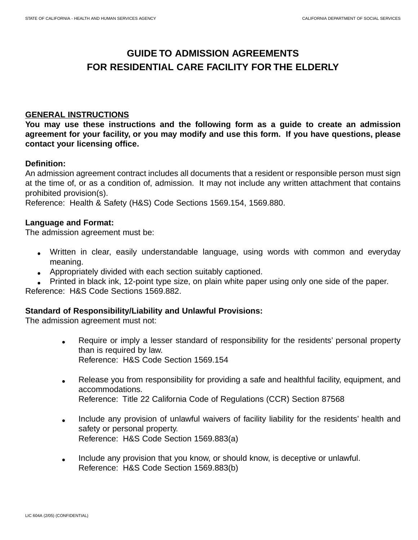# **GUIDE TO ADMISSION AGREEMENTS FOR RESIDENTIAL CARE FACILITY FOR THE ELDERLY**

### **GENERAL INSTRUCTIONS**

**You may use these instructions and the following form as a guide to create an admission agreement for your facility, or you may modify and use this form. If you have questions, please contact your licensing office.** 

### **Definition:**

An admission agreement contract includes all documents that a resident or responsible person must sign at the time of, or as a condition of, admission. It may not include any written attachment that contains prohibited provision(s).

Reference: Health & Safety (H&S) Code Sections 1569.154, 1569.880.

### **Language and Format:**

The admission agreement must be:

- Written in clear, easily understandable language, using words with common and everyday meaning.
- Appropriately divided with each section suitably captioned.
- Printed in black ink, 12-point type size, on plain white paper using only one side of the paper.

Reference: H&S Code Sections 1569.882.

### **Standard of Responsibility/Liability and Unlawful Provisions:**

The admission agreement must not:

- Require or imply a lesser standard of responsibility for the residents' personal property than is required by law. Reference: H&S Code Section 1569.154
- Release you from responsibility for providing a safe and healthful facility, equipment, and accommodations. Reference: Title 22 California Code of Regulations (CCR) Section 87568
- Include any provision of unlawful waivers of facility liability for the residents' health and safety or personal property. Reference: H&S Code Section 1569.883(a)
- Include any provision that you know, or should know, is deceptive or unlawful. Reference: H&S Code Section 1569.883(b)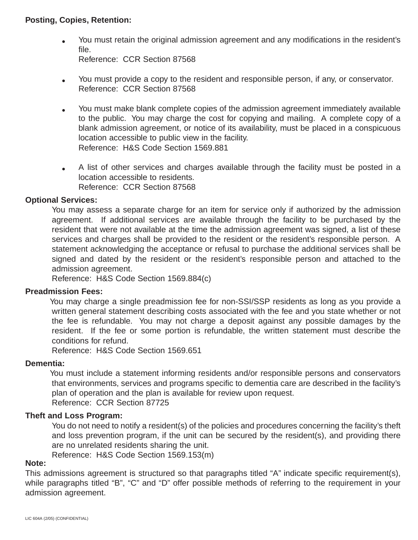### **Posting, Copies, Retention:**

- You must retain the original admission agreement and any modifications in the resident's file. Reference: CCR Section 87568
- You must provide a copy to the resident and responsible person, if any, or conservator. Reference: CCR Section 87568
- You must make blank complete copies of the admission agreement immediately available to the public. You may charge the cost for copying and mailing. A complete copy of a blank admission agreement, or notice of its availability, must be placed in a conspicuous location accessible to public view in the facility. Reference: H&S Code Section 1569.881
- A list of other services and charges available through the facility must be posted in a location accessible to residents. Reference: CCR Section 87568

## **Optional Services:**

You may assess a separate charge for an item for service only if authorized by the admission agreement. If additional services are available through the facility to be purchased by the resident that were not available at the time the admission agreement was signed, a list of these services and charges shall be provided to the resident or the resident's responsible person. A statement acknowledging the acceptance or refusal to purchase the additional services shall be signed and dated by the resident or the resident's responsible person and attached to the admission agreement.

Reference: H&S Code Section 1569.884(c)

### **Preadmission Fees:**

You may charge a single preadmission fee for non-SSI/SSP residents as long as you provide a written general statement describing costs associated with the fee and you state whether or not the fee is refundable. You may not charge a deposit against any possible damages by the resident. If the fee or some portion is refundable, the written statement must describe the conditions for refund.

Reference: H&S Code Section 1569.651

### **Dementia:**

You must include a statement informing residents and/or responsible persons and conservators that environments, services and programs specific to dementia care are described in the facility's plan of operation and the plan is available for review upon request. Reference: CCR Section 87725

### **Theft and Loss Program:**

You do not need to notify a resident(s) of the policies and procedures concerning the facility's theft and loss prevention program, if the unit can be secured by the resident(s), and providing there are no unrelated residents sharing the unit.

Reference: H&S Code Section 1569.153(m)

### **Note:**

This admissions agreement is structured so that paragraphs titled "A" indicate specific requirement(s), while paragraphs titled "B", "C" and "D" offer possible methods of referring to the requirement in your admission agreement.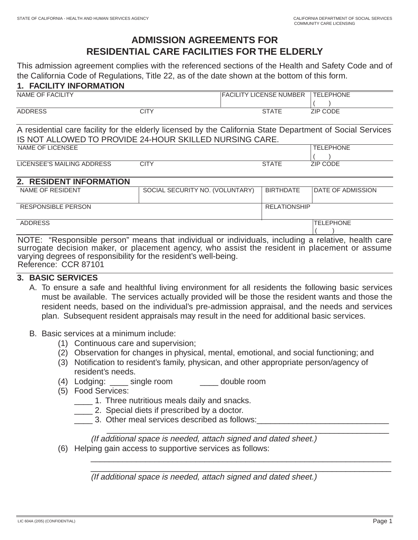# **ADMISSION AGREEMENTS FOR RESIDENTIAL CARE FACILITIES FOR THE ELDERLY**

This admission agreement complies with the referenced sections of the Health and Safety Code and of the California Code of Regulations, Title 22, as of the date shown at the bottom of this form.

### **1. FACILITY INFORMATION**

| NAME OF FACILITY |   | LICENSE NUMBER<br><b>FACIL</b> | <b>TELEPHONE</b> |
|------------------|---|--------------------------------|------------------|
|                  |   |                                |                  |
| <b>ADDRESS</b>   | ◡ | $\sim$ $ -$                    | <b>ZIP CODE</b>  |

| A residential care facility for the elderly licensed by the California State Department of Social Services |                  |
|------------------------------------------------------------------------------------------------------------|------------------|
| IS NOT ALLOWED TO PROVIDE 24-HOUR SKILLED NURSING CARE.                                                    |                  |
| NAME OF LICENCEE                                                                                           | <b>TELEDUANE</b> |

| NAME OF LICENSEE           |        | PHONE |
|----------------------------|--------|-------|
|                            |        |       |
| LICENSEE'S MAILING ADDRESS | $\cap$ | - סוי |

### **2. RESIDENT INFORMATION**

| NAME OF RESIDENT                                                                                  | SOCIAL SECURITY NO. (VOLUNTARY) | <b>BIRTHDATE</b>    | <b>DATE OF ADMISSION</b> |
|---------------------------------------------------------------------------------------------------|---------------------------------|---------------------|--------------------------|
|                                                                                                   |                                 |                     |                          |
|                                                                                                   |                                 |                     |                          |
|                                                                                                   |                                 |                     |                          |
| <b>RESPONSIBLE PERSON</b>                                                                         |                                 | <b>RELATIONSHIP</b> |                          |
|                                                                                                   |                                 |                     |                          |
|                                                                                                   |                                 |                     |                          |
| <b>ADDRESS</b>                                                                                    |                                 |                     | <b>TELEPHONE</b>         |
|                                                                                                   |                                 |                     |                          |
|                                                                                                   |                                 |                     |                          |
|                                                                                                   |                                 |                     |                          |
| NIOTE. "Desperable person" proces that individual as individuals including a relative leadsh care |                                 |                     |                          |

NOTE: "Responsible person" means that individual or individuals, including a relative, health care surrogate decision maker, or placement agency, who assist the resident in placement or assume varying degrees of responsibility for the resident's well-being. Reference: CCR 87101

### **3. BASIC SERVICES**

- A. To ensure a safe and healthful living environment for all residents the following basic services must be available. The services actually provided will be those the resident wants and those the resident needs, based on the individual's pre-admission appraisal, and the needs and services plan. Subsequent resident appraisals may result in the need for additional basic services.
- B. Basic services at a minimum include:
	- (1) Continuous care and supervision;
	- (2) Observation for changes in physical, mental, emotional, and social functioning; and
	- (3) Notification to resident's family, physican, and other appropriate person/agency of resident's needs.
	- (4) Lodging: \_\_\_\_\_ single room \_\_\_\_\_\_ double room
	- (5) Food Services:
		- \_\_\_\_ 1. Three nutritious meals daily and snacks.
		- **2.** Special diets if prescribed by a doctor.
		- 3. Other meal services described as follows:

(If additional space is needed, attach signed and dated sheet.)

\_\_\_\_\_\_\_\_\_\_\_\_\_\_\_\_\_\_\_\_\_\_\_\_\_\_\_\_\_\_\_\_\_\_\_\_\_\_\_\_\_\_\_\_\_\_\_\_\_\_\_\_\_\_\_\_\_\_\_\_\_\_

\_\_\_\_\_\_\_\_\_\_\_\_\_\_\_\_\_\_\_\_\_\_\_\_\_\_\_\_\_\_\_\_\_\_\_\_\_\_\_\_\_\_\_\_\_\_\_\_\_\_\_\_\_\_\_\_\_\_\_\_\_\_\_\_\_\_ \_\_\_\_\_\_\_\_\_\_\_\_\_\_\_\_\_\_\_\_\_\_\_\_\_\_\_\_\_\_\_\_\_\_\_\_\_\_\_\_\_\_\_\_\_\_\_\_\_\_\_\_\_\_\_\_\_\_\_\_\_\_\_\_\_\_

(6) Helping gain access to supportive services as follows:

(If additional space is needed, attach signed and dated sheet.)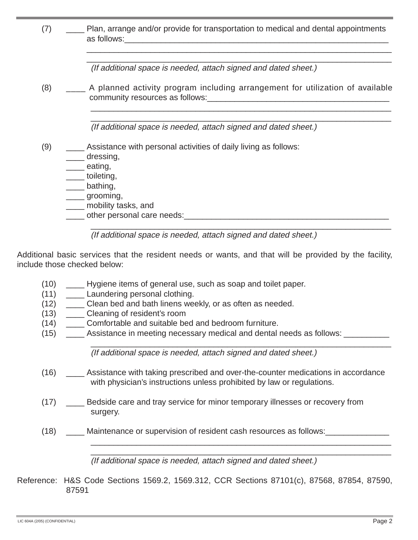| (7) | Plan, arrange and/or provide for transportation to medical and dental appointments                                                                                                                      |
|-----|---------------------------------------------------------------------------------------------------------------------------------------------------------------------------------------------------------|
|     | (If additional space is needed, attach signed and dated sheet.)                                                                                                                                         |
| (8) | A planned activity program including arrangement for utilization of available                                                                                                                           |
|     | (If additional space is needed, attach signed and dated sheet.)                                                                                                                                         |
| (9) | Assistance with personal activities of daily living as follows:<br>dressing,<br>eating,<br>____toileting,<br>____ bathing,<br>_____ grooming,<br>____ mobility tasks, and<br>other personal care needs: |
|     | (If additional space is needed, attach signed and dated sheet.)                                                                                                                                         |

Additional basic services that the resident needs or wants, and that will be provided by the facility, include those checked below:

- (10) \_\_\_\_ Hygiene items of general use, such as soap and toilet paper.
- (11) \_\_\_\_\_\_ Laundering personal clothing.
- (12) Clean bed and bath linens weekly, or as often as needed.
- (13) \_\_\_\_ Cleaning of resident's room
- (14) Comfortable and suitable bed and bedroom furniture.
- (15) \_\_\_\_\_ Assistance in meeting necessary medical and dental needs as follows: \_\_\_\_\_\_\_

\_\_\_\_\_\_\_\_\_\_\_\_\_\_\_\_\_\_\_\_\_\_\_\_\_\_\_\_\_\_\_\_\_\_\_\_\_\_\_\_\_\_\_\_\_\_\_\_\_\_\_\_\_\_\_\_\_\_\_\_\_\_\_\_\_\_ (If additional space is needed, attach signed and dated sheet.)

- (16) \_\_\_\_ Assistance with taking prescribed and over-the-counter medications in accordance with physician's instructions unless prohibited by law or regulations.
- (17) Bedside care and tray service for minor temporary illnesses or recovery from surgery.
- (18) Maintenance or supervision of resident cash resources as follows:

\_\_\_\_\_\_\_\_\_\_\_\_\_\_\_\_\_\_\_\_\_\_\_\_\_\_\_\_\_\_\_\_\_\_\_\_\_\_\_\_\_\_\_\_\_\_\_\_\_\_\_\_\_\_\_\_\_\_\_\_\_\_\_\_\_\_ (If additional space is needed, attach signed and dated sheet.)

\_\_\_\_\_\_\_\_\_\_\_\_\_\_\_\_\_\_\_\_\_\_\_\_\_\_\_\_\_\_\_\_\_\_\_\_\_\_\_\_\_\_\_\_\_\_\_\_\_\_\_\_\_\_\_\_\_\_\_\_\_\_\_\_\_\_

Reference: H&S Code Sections 1569.2, 1569.312, CCR Sections 87101(c), 87568, 87854, 87590, 87591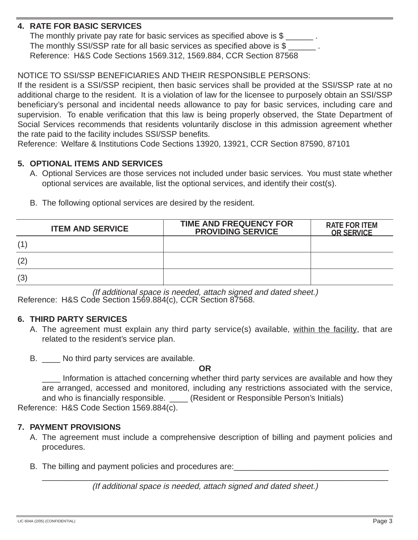# **4. RATE FOR BASIC SERVICES**

The monthly private pay rate for basic services as specified above is \$ The monthly SSI/SSP rate for all basic services as specified above is \$ Reference: H&S Code Sections 1569.312, 1569.884, CCR Section 87568

# NOTICE TO SSI/SSP BENEFICIARIES AND THEIR RESPONSIBLE PERSONS:

If the resident is a SSI/SSP recipient, then basic services shall be provided at the SSI/SSP rate at no additional charge to the resident. It is a violation of law for the licensee to purposely obtain an SSI/SSP beneficiary's personal and incidental needs allowance to pay for basic services, including care and supervision. To enable verification that this law is being properly observed, the State Department of Social Services recommends that residents voluntarily disclose in this admission agreement whether the rate paid to the facility includes SSI/SSP benefits.

Reference: Welfare & Institutions Code Sections 13920, 13921, CCR Section 87590, 87101

### **5. OPTIONAL ITEMS AND SERVICES**

- A. Optional Services are those services not included under basic services. You must state whether optional services are available, list the optional services, and identify their cost(s).
- B. The following optional services are desired by the resident.

| <b>ITEM AND SERVICE</b> | <b>TIME AND FREQUENCY FOR</b><br><b>PROVIDING SERVICE</b> | <b>RATE FOR ITEM</b><br><b>OR SERVICE</b> |
|-------------------------|-----------------------------------------------------------|-------------------------------------------|
| (1)                     |                                                           |                                           |
| (2)                     |                                                           |                                           |
| (3)                     |                                                           |                                           |

(If additional space is needed, attach signed and dated sheet.) Reference: H&S Code Section 1569.884(c), CCR Section 87568.

### **6. THIRD PARTY SERVICES**

- A. The agreement must explain any third party service(s) available, within the facility, that are related to the resident's service plan.
- B. \_\_\_\_ No third party services are available.

#### **OR**

\_\_\_\_ Information is attached concerning whether third party services are available and how they are arranged, accessed and monitored, including any restrictions associated with the service, and who is financially responsible. \_\_\_\_\_ (Resident or Responsible Person's Initials) Reference: H&S Code Section 1569.884(c).

### **7. PAYMENT PROVISIONS**

A. The agreement must include a comprehensive description of billing and payment policies and procedures.

\_\_\_\_\_\_\_\_\_\_\_\_\_\_\_\_\_\_\_\_\_\_\_\_\_\_\_\_\_\_\_\_\_\_\_\_\_\_\_\_\_\_\_\_\_\_\_\_\_\_\_\_\_\_\_\_\_\_\_\_\_\_\_\_\_\_\_\_\_\_\_\_\_\_\_\_

B. The billing and payment policies and procedures are:

(If additional space is needed, attach signed and dated sheet.)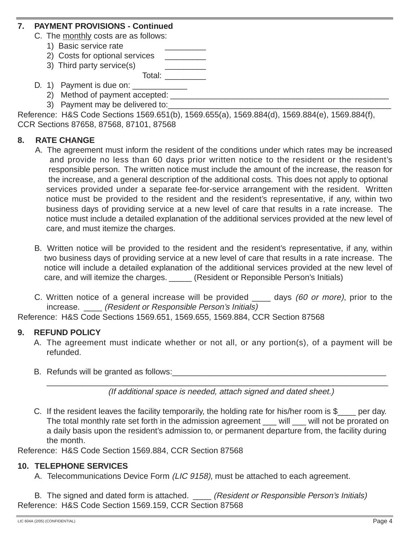### **7. PAYMENT PROVISIONS - Continued**

- C. The monthly costs are as follows:
	- 1) Basic service rate
	- 2) Costs for optional services
	- 3) Third party service(s) Total: \_\_\_\_\_\_\_\_\_
- D. 1) Payment is due on:
	- 2) Method of payment accepted:
	- 3) Payment may be delivered to:

| Reference: H&S Code Sections 1569.651(b), 1569.655(a), 1569.884(d), 1569.884(e), 1569.884(f), |  |  |
|-----------------------------------------------------------------------------------------------|--|--|
| CCR Sections 87658, 87568, 87101, 87568                                                       |  |  |

## **8. RATE CHANGE**

- A. The agreement must inform the resident of the conditions under which rates may be increased and provide no less than 60 days prior written notice to the resident or the resident's responsible person. The written notice must include the amount of the increase, the reason for the increase, and a general description of the additional costs. This does not apply to optional services provided under a separate fee-for-service arrangement with the resident. Written notice must be provided to the resident and the resident's representative, if any, within two business days of providing service at a new level of care that results in a rate increase. The notice must include a detailed explanation of the additional services provided at the new level of care, and must itemize the charges.
- B. Written notice will be provided to the resident and the resident's representative, if any, within two business days of providing service at a new level of care that results in a rate increase. The notice will include a detailed explanation of the additional services provided at the new level of care, and will itemize the charges. \_\_\_\_\_ (Resident or Reponsible Person's Initials)
- C. Written notice of a general increase will be provided \_\_\_\_ days (60 or more), prior to the increase. (Resident or Responsible Person's Initials)

Reference: H&S Code Sections 1569.651, 1569.655, 1569.884, CCR Section 87568

### **9. REFUND POLICY**

- A. The agreement must indicate whether or not all, or any portion(s), of a payment will be refunded.
- B. Refunds will be granted as follows:

\_\_\_\_\_\_\_\_\_\_\_\_\_\_\_\_\_\_\_\_\_\_\_\_\_\_\_\_\_\_\_\_\_\_\_\_\_\_\_\_\_\_\_\_\_\_\_\_\_\_\_\_\_\_\_\_\_\_\_\_\_\_\_\_\_\_\_\_\_\_\_\_\_\_\_ (If additional space is needed, attach signed and dated sheet.)

C. If the resident leaves the facility temporarily, the holding rate for his/her room is  $\frac{1}{2}$  per day. The total monthly rate set forth in the admission agreement \_\_\_ will \_\_\_ will not be prorated on a daily basis upon the resident's admission to, or permanent departure from, the facility during the month.

Reference: H&S Code Section 1569.884, CCR Section 87568

### **10. TELEPHONE SERVICES**

A. Telecommunications Device Form (LIC 9158), must be attached to each agreement.

B. The signed and dated form is attached. (Resident or Responsible Person's Initials) Reference: H&S Code Section 1569.159, CCR Section 87568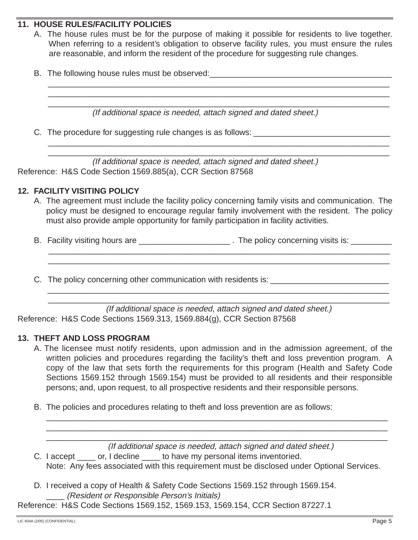# **11. HOUSE RULES/FACILITY POLICIES**

A. The house rules must be for the purpose of making it possible for residents to live together. When referring to a resident's obligation to observe facility rules, you must ensure the rules are reasonable, and inform the resident of the procedure for suggesting rule changes.

\_\_\_\_\_\_\_\_\_\_\_\_\_\_\_\_\_\_\_\_\_\_\_\_\_\_\_\_\_\_\_\_\_\_\_\_\_\_\_\_\_\_\_\_\_\_\_\_\_\_\_\_\_\_\_\_\_\_\_\_\_\_\_\_\_\_\_\_\_\_\_\_\_\_\_ \_\_\_\_\_\_\_\_\_\_\_\_\_\_\_\_\_\_\_\_\_\_\_\_\_\_\_\_\_\_\_\_\_\_\_\_\_\_\_\_\_\_\_\_\_\_\_\_\_\_\_\_\_\_\_\_\_\_\_\_\_\_\_\_\_\_\_\_\_\_\_\_\_\_\_ \_\_\_\_\_\_\_\_\_\_\_\_\_\_\_\_\_\_\_\_\_\_\_\_\_\_\_\_\_\_\_\_\_\_\_\_\_\_\_\_\_\_\_\_\_\_\_\_\_\_\_\_\_\_\_\_\_\_\_\_\_\_\_\_\_\_\_\_\_\_\_\_\_\_\_

\_\_\_\_\_\_\_\_\_\_\_\_\_\_\_\_\_\_\_\_\_\_\_\_\_\_\_\_\_\_\_\_\_\_\_\_\_\_\_\_\_\_\_\_\_\_\_\_\_\_\_\_\_\_\_\_\_\_\_\_\_\_\_\_\_\_\_\_\_\_\_\_\_\_\_ \_\_\_\_\_\_\_\_\_\_\_\_\_\_\_\_\_\_\_\_\_\_\_\_\_\_\_\_\_\_\_\_\_\_\_\_\_\_\_\_\_\_\_\_\_\_\_\_\_\_\_\_\_\_\_\_\_\_\_\_\_\_\_\_\_\_\_\_\_\_\_\_\_\_\_

B. The following house rules must be observed:

(If additional space is needed, attach signed and dated sheet.)

C. The procedure for suggesting rule changes is as follows:

(If additional space is needed, attach signed and dated sheet.) Reference: H&S Code Section 1569.885(a), CCR Section 87568

### **12. FACILITY VISITING POLICY**

A. The agreement must include the facility policy concerning family visits and communication. The policy must be designed to encourage regular family involvement with the resident. The policy must also provide ample opportunity for family participation in facility activities.

\_\_\_\_\_\_\_\_\_\_\_\_\_\_\_\_\_\_\_\_\_\_\_\_\_\_\_\_\_\_\_\_\_\_\_\_\_\_\_\_\_\_\_\_\_\_\_\_\_\_\_\_\_\_\_\_\_\_\_\_\_\_\_\_\_\_\_\_\_\_\_\_\_\_\_ \_\_\_\_\_\_\_\_\_\_\_\_\_\_\_\_\_\_\_\_\_\_\_\_\_\_\_\_\_\_\_\_\_\_\_\_\_\_\_\_\_\_\_\_\_\_\_\_\_\_\_\_\_\_\_\_\_\_\_\_\_\_\_\_\_\_\_\_\_\_\_\_\_\_\_

\_\_\_\_\_\_\_\_\_\_\_\_\_\_\_\_\_\_\_\_\_\_\_\_\_\_\_\_\_\_\_\_\_\_\_\_\_\_\_\_\_\_\_\_\_\_\_\_\_\_\_\_\_\_\_\_\_\_\_\_\_\_\_\_\_\_\_\_\_\_\_\_\_\_\_ \_\_\_\_\_\_\_\_\_\_\_\_\_\_\_\_\_\_\_\_\_\_\_\_\_\_\_\_\_\_\_\_\_\_\_\_\_\_\_\_\_\_\_\_\_\_\_\_\_\_\_\_\_\_\_\_\_\_\_\_\_\_\_\_\_\_\_\_\_\_\_\_\_\_\_

- B. Facility visiting hours are **Example 20** and the policy concerning visits is:
- C. The policy concerning other communication with residents is: \_\_\_\_\_\_\_\_\_\_\_\_\_\_\_\_\_

(If additional space is needed, attach signed and dated sheet.) Reference: H&S Code Sections 1569.313, 1569.884(g), CCR Section 87568

### **13. THEFT AND LOSS PROGRAM**

- A. The licensee must notify residents, upon admission and in the admission agreement, of the written policies and procedures regarding the facility's theft and loss prevention program. A copy of the law that sets forth the requirements for this program (Health and Safety Code Sections 1569.152 through 1569.154) must be provided to all residents and their responsible persons; and, upon request, to all prospective residents and their responsible persons.
- B. The policies and procedures relating to theft and loss prevention are as follows:

\_\_\_\_\_\_\_\_\_\_\_\_\_\_\_\_\_\_\_\_\_\_\_\_\_\_\_\_\_\_\_\_\_\_\_\_\_\_\_\_\_\_\_\_\_\_\_\_\_\_\_\_\_\_\_\_\_\_\_\_\_\_\_\_\_\_\_\_\_\_\_\_\_\_\_ (If additional space is needed, attach signed and dated sheet.)

\_\_\_\_\_\_\_\_\_\_\_\_\_\_\_\_\_\_\_\_\_\_\_\_\_\_\_\_\_\_\_\_\_\_\_\_\_\_\_\_\_\_\_\_\_\_\_\_\_\_\_\_\_\_\_\_\_\_\_\_\_\_\_\_\_\_\_\_\_\_\_\_\_\_\_ \_\_\_\_\_\_\_\_\_\_\_\_\_\_\_\_\_\_\_\_\_\_\_\_\_\_\_\_\_\_\_\_\_\_\_\_\_\_\_\_\_\_\_\_\_\_\_\_\_\_\_\_\_\_\_\_\_\_\_\_\_\_\_\_\_\_\_\_\_\_\_\_\_\_\_

C. I accept \_\_\_\_\_ or, I decline \_\_\_\_\_ to have my personal items inventoried.

Note: Any fees associated with this requirement must be disclosed under Optional Services.

D. I received a copy of Health & Safety Code Sections 1569.152 through 1569.154. \_\_\_\_ (Resident or Responsible Person's Initials)

Reference: H&S Code Sections 1569.152, 1569.153, 1569.154, CCR Section 87227.1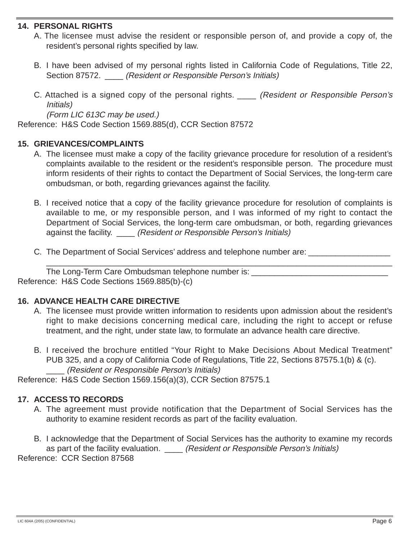### **14. PERSONAL RIGHTS**

- A. The licensee must advise the resident or responsible person of, and provide a copy of, the resident's personal rights specified by law.
- B. I have been advised of my personal rights listed in California Code of Regulations, Title 22, Section 87572. *(Resident or Responsible Person's Initials)*
- C. Attached is a signed copy of the personal rights. \_\_\_\_ (Resident or Responsible Person's Initials)

(Form LIC 613C may be used.)

Reference: H&S Code Section 1569.885(d), CCR Section 87572

## **15. GRIEVANCES/COMPLAINTS**

- A. The licensee must make a copy of the facility grievance procedure for resolution of a resident's complaints available to the resident or the resident's responsible person. The procedure must inform residents of their rights to contact the Department of Social Services, the long-term care ombudsman, or both, regarding grievances against the facility.
- B. I received notice that a copy of the facility grievance procedure for resolution of complaints is available to me, or my responsible person, and I was informed of my right to contact the Department of Social Services, the long-term care ombudsman, or both, regarding grievances against the facility. \_\_\_\_ (Resident or Responsible Person's Initials)

\_\_\_\_\_\_\_\_\_\_\_\_\_\_\_\_\_\_\_\_\_\_\_\_\_\_\_\_\_\_\_\_\_\_\_\_\_\_\_\_\_\_\_\_\_\_\_\_\_\_\_\_\_\_\_\_\_\_\_\_\_\_\_\_\_\_\_\_\_\_\_\_\_\_\_\_

C. The Department of Social Services' address and telephone number are:

The Long-Term Care Ombudsman telephone number is: Reference: H&S Code Sections 1569.885(b)-(c)

# **16. ADVANCE HEALTH CARE DIRECTIVE**

- A. The licensee must provide written information to residents upon admission about the resident's right to make decisions concerning medical care, including the right to accept or refuse treatment, and the right, under state law, to formulate an advance health care directive.
- B. I received the brochure entitled "Your Right to Make Decisions About Medical Treatment" PUB 325, and a copy of California Code of Regulations, Title 22, Sections 87575.1(b) & (c). \_\_\_\_ (Resident or Responsible Person's Initials)

Reference: H&S Code Section 1569.156(a)(3), CCR Section 87575.1

# **17. ACCESS TO RECORDS**

- A. The agreement must provide notification that the Department of Social Services has the authority to examine resident records as part of the facility evaluation.
- B. I acknowledge that the Department of Social Services has the authority to examine my records as part of the facility evaluation. \_\_\_\_ (Resident or Responsible Person's Initials)

Reference: CCR Section 87568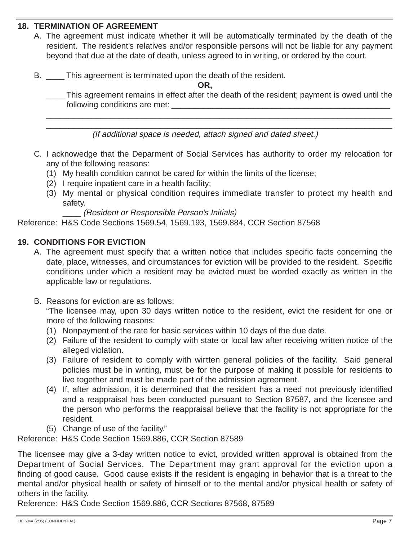## **18. TERMINATION OF AGREEMENT**

- A. The agreement must indicate whether it will be automatically terminated by the death of the resident. The resident's relatives and/or responsible persons will not be liable for any payment beyond that due at the date of death, unless agreed to in writing, or ordered by the court.
- B. This agreement is terminated upon the death of the resident.

**OR,** 

This agreement remains in effect after the death of the resident; payment is owed until the following conditions are met:

\_\_\_\_\_\_\_\_\_\_\_\_\_\_\_\_\_\_\_\_\_\_\_\_\_\_\_\_\_\_\_\_\_\_\_\_\_\_\_\_\_\_\_\_\_\_\_\_\_\_\_\_\_\_\_\_\_\_\_\_\_\_\_\_\_\_\_\_\_\_\_\_\_\_\_\_ \_\_\_\_\_\_\_\_\_\_\_\_\_\_\_\_\_\_\_\_\_\_\_\_\_\_\_\_\_\_\_\_\_\_\_\_\_\_\_\_\_\_\_\_\_\_\_\_\_\_\_\_\_\_\_\_\_\_\_\_\_\_\_\_\_\_\_\_\_\_\_\_\_\_\_\_

(If additional space is needed, attach signed and dated sheet.)

- C. I acknowedge that the Deparment of Social Services has authority to order my relocation for any of the following reasons:
	- (1) My health condition cannot be cared for within the limits of the license;
	- $(2)$  I require inpatient care in a health facility;
	- (3) My mental or physical condition requires immediate transfer to protect my health and safety.

\_\_\_\_ (Resident or Responsible Person's Initials)

Reference: H&S Code Sections 1569.54, 1569.193, 1569.884, CCR Section 87568

# **19. CONDITIONS FOR EVICTION**

- A. The agreement must specify that a written notice that includes specific facts concerning the date, place, witnesses, and circumstances for eviction will be provided to the resident. Specific conditions under which a resident may be evicted must be worded exactly as written in the applicable law or regulations.
- B. Reasons for eviction are as follows:

"The licensee may, upon 30 days written notice to the resident, evict the resident for one or more of the following reasons:

- (1) Nonpayment of the rate for basic services within 10 days of the due date.
- (2) Failure of the resident to comply with state or local law after receiving written notice of the alleged violation.
- (3) Failure of resident to comply with wirtten general policies of the facility. Said general policies must be in writing, must be for the purpose of making it possible for residents to live together and must be made part of the admission agreement.
- (4) If, after admission, it is determined that the resident has a need not previously identified and a reappraisal has been conducted pursuant to Section 87587, and the licensee and the person who performs the reappraisal believe that the facility is not appropriate for the resident.
- (5) Change of use of the facility."

Reference: H&S Code Section 1569.886, CCR Section 87589

The licensee may give a 3-day written notice to evict, provided written approval is obtained from the Department of Social Services. The Department may grant approval for the eviction upon a finding of good cause. Good cause exists if the resident is engaging in behavior that is a threat to the mental and/or physical health or safety of himself or to the mental and/or physical health or safety of others in the facility.

Reference: H&S Code Section 1569.886, CCR Sections 87568, 87589